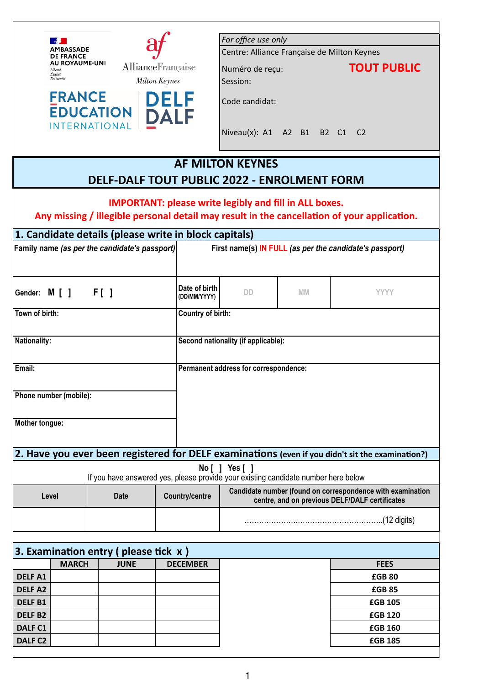|                                                                                                      | $\sim$<br>MBASSADE                   |                                                        |                                                               | For office use only                         |           |                                                                                                              |  |  |
|------------------------------------------------------------------------------------------------------|--------------------------------------|--------------------------------------------------------|---------------------------------------------------------------|---------------------------------------------|-----------|--------------------------------------------------------------------------------------------------------------|--|--|
| <b>DE FRANCE</b>                                                                                     |                                      |                                                        |                                                               | Centre: Alliance Française de Milton Keynes |           |                                                                                                              |  |  |
|                                                                                                      | AU ROYAUME-UNI<br>Liberté<br>Égalité |                                                        | AllianceFrançaise                                             | Numéro de reçu:                             |           | <b>TOUT PUBLIC</b>                                                                                           |  |  |
|                                                                                                      | Fraternité                           |                                                        | <b>Milton Keynes</b>                                          | Session:                                    |           |                                                                                                              |  |  |
|                                                                                                      | <b>FRANCE</b>                        | <b>EDUCATION</b><br><b>INTERNATIONAL</b>               | <b>DELF</b><br>DALI                                           | Code candidat:                              |           |                                                                                                              |  |  |
|                                                                                                      |                                      |                                                        |                                                               | Niveau(x): A1 A2 B1 B2 C1 C2                |           |                                                                                                              |  |  |
|                                                                                                      |                                      |                                                        |                                                               |                                             |           |                                                                                                              |  |  |
|                                                                                                      |                                      |                                                        | DELF-DALF TOUT PUBLIC 2022 - ENROLMENT FORM                   | <b>AF MILTON KEYNES</b>                     |           |                                                                                                              |  |  |
|                                                                                                      |                                      |                                                        |                                                               |                                             |           |                                                                                                              |  |  |
|                                                                                                      |                                      |                                                        | <b>IMPORTANT: please write legibly and fill in ALL boxes.</b> |                                             |           |                                                                                                              |  |  |
|                                                                                                      |                                      |                                                        |                                                               |                                             |           | Any missing / illegible personal detail may result in the cancellation of your application.                  |  |  |
|                                                                                                      |                                      |                                                        | 1. Candidate details (please write in block capitals)         |                                             |           |                                                                                                              |  |  |
|                                                                                                      |                                      | Family name (as per the candidate's passport)          |                                                               |                                             |           | First name(s) IN FULL (as per the candidate's passport)                                                      |  |  |
|                                                                                                      |                                      |                                                        |                                                               |                                             |           |                                                                                                              |  |  |
|                                                                                                      |                                      |                                                        |                                                               |                                             |           |                                                                                                              |  |  |
| Gender: M [ ]                                                                                        |                                      | F[ ]                                                   | Date of birth<br>(DD/MM/YYYY)                                 | DD.                                         | <b>MM</b> | <b>YYYY</b>                                                                                                  |  |  |
| Town of birth:                                                                                       |                                      |                                                        | Country of birth:                                             |                                             |           |                                                                                                              |  |  |
|                                                                                                      |                                      |                                                        |                                                               |                                             |           |                                                                                                              |  |  |
| <b>Nationality:</b>                                                                                  |                                      |                                                        |                                                               | Second nationality (if applicable):         |           |                                                                                                              |  |  |
|                                                                                                      |                                      |                                                        |                                                               |                                             |           |                                                                                                              |  |  |
| Email:                                                                                               |                                      |                                                        |                                                               | Permanent address for correspondence:       |           |                                                                                                              |  |  |
|                                                                                                      |                                      |                                                        |                                                               |                                             |           |                                                                                                              |  |  |
|                                                                                                      | Phone number (mobile):               |                                                        |                                                               |                                             |           |                                                                                                              |  |  |
|                                                                                                      |                                      |                                                        |                                                               |                                             |           |                                                                                                              |  |  |
| Mother tongue:                                                                                       |                                      |                                                        |                                                               |                                             |           |                                                                                                              |  |  |
|                                                                                                      |                                      |                                                        |                                                               |                                             |           |                                                                                                              |  |  |
|                                                                                                      |                                      |                                                        |                                                               |                                             |           |                                                                                                              |  |  |
|                                                                                                      |                                      |                                                        |                                                               |                                             |           | 2. Have you ever been registered for DELF examinations (even if you didn't sit the examination?)             |  |  |
| No [ ] Yes [ ]<br>If you have answered yes, please provide your existing candidate number here below |                                      |                                                        |                                                               |                                             |           |                                                                                                              |  |  |
| Level                                                                                                |                                      | <b>Date</b>                                            | <b>Country/centre</b>                                         |                                             |           | Candidate number (found on correspondence with examination<br>centre, and on previous DELF/DALF certificates |  |  |
|                                                                                                      |                                      |                                                        |                                                               |                                             |           |                                                                                                              |  |  |
|                                                                                                      |                                      |                                                        |                                                               |                                             |           |                                                                                                              |  |  |
|                                                                                                      |                                      |                                                        |                                                               |                                             |           |                                                                                                              |  |  |
|                                                                                                      |                                      |                                                        |                                                               |                                             |           |                                                                                                              |  |  |
|                                                                                                      | <b>MARCH</b>                         | 3. Examination entry (please tick $x$ )<br><b>JUNE</b> | <b>DECEMBER</b>                                               |                                             |           | <b>FEES</b>                                                                                                  |  |  |
| <b>DELFA1</b>                                                                                        |                                      |                                                        |                                                               |                                             |           | <b>£GB80</b>                                                                                                 |  |  |
| <b>DELFA2</b>                                                                                        |                                      |                                                        |                                                               |                                             |           | <b>£GB85</b>                                                                                                 |  |  |
| <b>DELFB1</b>                                                                                        |                                      |                                                        |                                                               |                                             |           | <b>£GB 105</b>                                                                                               |  |  |
| <b>DELFB2</b>                                                                                        |                                      |                                                        |                                                               |                                             |           | <b>£GB 120</b>                                                                                               |  |  |
| DALF <sub>C1</sub>                                                                                   |                                      |                                                        |                                                               |                                             |           | <b>£GB 160</b>                                                                                               |  |  |